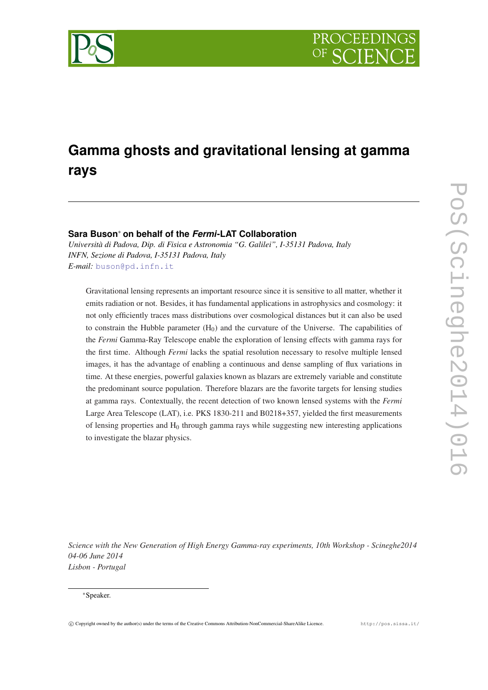

# **Gamma ghosts and gravitational lensing at gamma rays**

# **Sara Buson**<sup>∗</sup> **on behalf of the** *Fermi***-LAT Collaboration**

*Università di Padova, Dip. di Fisica e Astronomia "G. Galilei", I-35131 Padova, Italy INFN, Sezione di Padova, I-35131 Padova, Italy E-mail:* [buson@pd.infn.it](mailto:buson@pd.infn.it)

Gravitational lensing represents an important resource since it is sensitive to all matter, whether it emits radiation or not. Besides, it has fundamental applications in astrophysics and cosmology: it not only efficiently traces mass distributions over cosmological distances but it can also be used to constrain the Hubble parameter  $(H_0)$  and the curvature of the Universe. The capabilities of the *Fermi* Gamma-Ray Telescope enable the exploration of lensing effects with gamma rays for the first time. Although *Fermi* lacks the spatial resolution necessary to resolve multiple lensed images, it has the advantage of enabling a continuous and dense sampling of flux variations in time. At these energies, powerful galaxies known as blazars are extremely variable and constitute the predominant source population. Therefore blazars are the favorite targets for lensing studies at gamma rays. Contextually, the recent detection of two known lensed systems with the *Fermi* Large Area Telescope (LAT), i.e. PKS 1830-211 and B0218+357, yielded the first measurements of lensing properties and  $H_0$  through gamma rays while suggesting new interesting applications to investigate the blazar physics.

*Science with the New Generation of High Energy Gamma-ray experiments, 10th Workshop - Scineghe2014 04-06 June 2014 Lisbon - Portugal*

<sup>∗</sup>Speaker.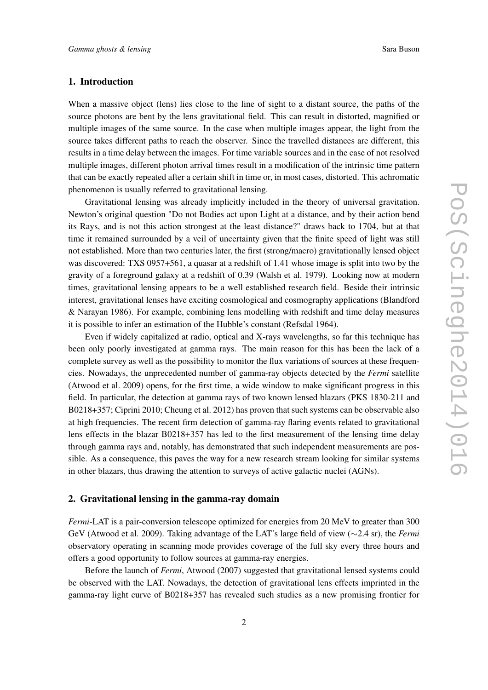## 1. Introduction

When a massive object (lens) lies close to the line of sight to a distant source, the paths of the source photons are bent by the lens gravitational field. This can result in distorted, magnified or multiple images of the same source. In the case when multiple images appear, the light from the source takes different paths to reach the observer. Since the travelled distances are different, this results in a time delay between the images. For time variable sources and in the case of not resolved multiple images, different photon arrival times result in a modification of the intrinsic time pattern that can be exactly repeated after a certain shift in time or, in most cases, distorted. This achromatic phenomenon is usually referred to gravitational lensing.

Gravitational lensing was already implicitly included in the theory of universal gravitation. Newton's original question "Do not Bodies act upon Light at a distance, and by their action bend its Rays, and is not this action strongest at the least distance?" draws back to 1704, but at that time it remained surrounded by a veil of uncertainty given that the finite speed of light was still not established. More than two centuries later, the first (strong/macro) gravitationally lensed object was discovered: TXS 0957+561, a quasar at a redshift of 1.41 whose image is split into two by the gravity of a foreground galaxy at a redshift of 0.39 (Walsh et al. 1979). Looking now at modern times, gravitational lensing appears to be a well established research field. Beside their intrinsic interest, gravitational lenses have exciting cosmological and cosmography applications (Blandford & Narayan 1986). For example, combining lens modelling with redshift and time delay measures it is possible to infer an estimation of the Hubble's constant (Refsdal 1964).

Even if widely capitalized at radio, optical and X-rays wavelengths, so far this technique has been only poorly investigated at gamma rays. The main reason for this has been the lack of a complete survey as well as the possibility to monitor the flux variations of sources at these frequencies. Nowadays, the unprecedented number of gamma-ray objects detected by the *Fermi* satellite (Atwood et al. 2009) opens, for the first time, a wide window to make significant progress in this field. In particular, the detection at gamma rays of two known lensed blazars (PKS 1830-211 and B0218+357; Ciprini 2010; Cheung et al. 2012) has proven that such systems can be observable also at high frequencies. The recent firm detection of gamma-ray flaring events related to gravitational lens effects in the blazar B0218+357 has led to the first measurement of the lensing time delay through gamma rays and, notably, has demonstrated that such independent measurements are possible. As a consequence, this paves the way for a new research stream looking for similar systems in other blazars, thus drawing the attention to surveys of active galactic nuclei (AGNs).

## 2. Gravitational lensing in the gamma-ray domain

*Fermi*-LAT is a pair-conversion telescope optimized for energies from 20 MeV to greater than 300 GeV (Atwood et al. 2009). Taking advantage of the LAT's large field of view (∼2.4 sr), the *Fermi* observatory operating in scanning mode provides coverage of the full sky every three hours and offers a good opportunity to follow sources at gamma-ray energies.

Before the launch of *Fermi*, Atwood (2007) suggested that gravitational lensed systems could be observed with the LAT. Nowadays, the detection of gravitational lens effects imprinted in the gamma-ray light curve of B0218+357 has revealed such studies as a new promising frontier for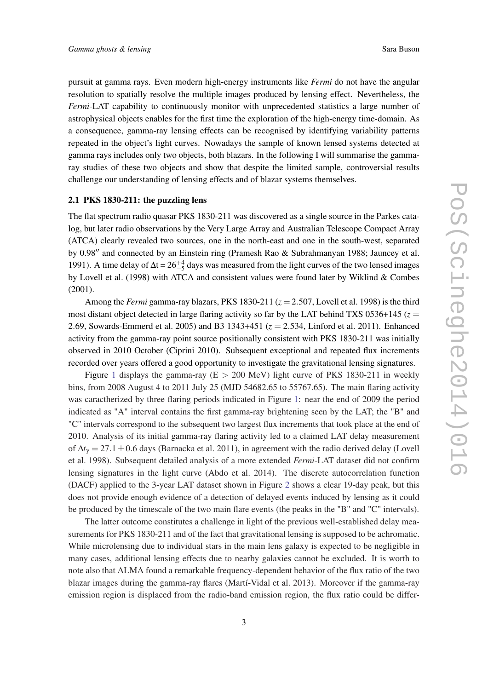pursuit at gamma rays. Even modern high-energy instruments like *Fermi* do not have the angular resolution to spatially resolve the multiple images produced by lensing effect. Nevertheless, the *Fermi*-LAT capability to continuously monitor with unprecedented statistics a large number of astrophysical objects enables for the first time the exploration of the high-energy time-domain. As a consequence, gamma-ray lensing effects can be recognised by identifying variability patterns repeated in the object's light curves. Nowadays the sample of known lensed systems detected at gamma rays includes only two objects, both blazars. In the following I will summarise the gammaray studies of these two objects and show that despite the limited sample, controversial results challenge our understanding of lensing effects and of blazar systems themselves.

#### 2.1 PKS 1830-211: the puzzling lens

The flat spectrum radio quasar PKS 1830-211 was discovered as a single source in the Parkes catalog, but later radio observations by the Very Large Array and Australian Telescope Compact Array (ATCA) clearly revealed two sources, one in the north-east and one in the south-west, separated by 0.98" and connected by an Einstein ring (Pramesh Rao & Subrahmanyan 1988; Jauncey et al. 1991). A time delay of  $\Delta t = 26 \frac{+4}{-5}$  days was measured from the light curves of the two lensed images by Lovell et al. (1998) with ATCA and consistent values were found later by Wiklind & Combes (2001).

Among the *Fermi* gamma-ray blazars, PKS 1830-211 ( $z = 2.507$ , Lovell et al. 1998) is the third most distant object detected in large flaring activity so far by the LAT behind TXS 0536+145 ( $z =$ 2.69, Sowards-Emmerd et al. 2005) and B3 1343+451 (*z* = 2.534, Linford et al. 2011). Enhanced activity from the gamma-ray point source positionally consistent with PKS 1830-211 was initially observed in 2010 October (Ciprini 2010). Subsequent exceptional and repeated flux increments recorded over years offered a good opportunity to investigate the gravitational lensing signatures.

Figure [1](#page-3-0) displays the gamma-ray ( $E > 200$  MeV) light curve of PKS 1830-211 in weekly bins, from 2008 August 4 to 2011 July 25 (MJD 54682.65 to 55767.65). The main flaring activity was caractherized by three flaring periods indicated in Figure [1](#page-3-0): near the end of 2009 the period indicated as "A" interval contains the first gamma-ray brightening seen by the LAT; the "B" and "C" intervals correspond to the subsequent two largest flux increments that took place at the end of 2010. Analysis of its initial gamma-ray flaring activity led to a claimed LAT delay measurement of ∆*t*<sup>γ</sup> = 27.1±0.6 days (Barnacka et al. 2011), in agreement with the radio derived delay (Lovell et al. 1998). Subsequent detailed analysis of a more extended *Fermi*-LAT dataset did not confirm lensing signatures in the light curve (Abdo et al. 2014). The discrete autocorrelation function (DACF) applied to the 3-year LAT dataset shown in Figure [2](#page-4-0) shows a clear 19-day peak, but this does not provide enough evidence of a detection of delayed events induced by lensing as it could be produced by the timescale of the two main flare events (the peaks in the "B" and "C" intervals).

The latter outcome constitutes a challenge in light of the previous well-established delay measurements for PKS 1830-211 and of the fact that gravitational lensing is supposed to be achromatic. While microlensing due to individual stars in the main lens galaxy is expected to be negligible in many cases, additional lensing effects due to nearby galaxies cannot be excluded. It is worth to note also that ALMA found a remarkable frequency-dependent behavior of the flux ratio of the two blazar images during the gamma-ray flares (Martí-Vidal et al. 2013). Moreover if the gamma-ray emission region is displaced from the radio-band emission region, the flux ratio could be differ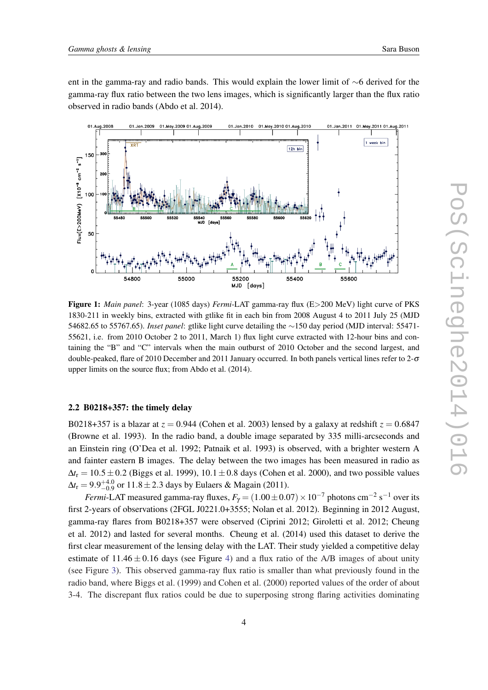<span id="page-3-0"></span>ent in the gamma-ray and radio bands. This would explain the lower limit of ∼6 derived for the gamma-ray flux ratio between the two lens images, which is significantly larger than the flux ratio observed in radio bands (Abdo et al. 2014).



Figure 1: *Main panel*: 3-year (1085 days) *Fermi*-LAT gamma-ray flux (E>200 MeV) light curve of PKS 1830-211 in weekly bins, extracted with gtlike fit in each bin from 2008 August 4 to 2011 July 25 (MJD 54682.65 to 55767.65). *Inset panel*: gtlike light curve detailing the ∼150 day period (MJD interval: 55471- 55621, i.e. from 2010 October 2 to 2011, March 1) flux light curve extracted with 12-hour bins and containing the "B" and "C" intervals when the main outburst of 2010 October and the second largest, and double-peaked, flare of 2010 December and 2011 January occurred. In both panels vertical lines refer to 2-σ upper limits on the source flux; from Abdo et al. (2014).

## 2.2 B0218+357: the timely delay

B0218+357 is a blazar at  $z = 0.944$  (Cohen et al. 2003) lensed by a galaxy at redshift  $z = 0.6847$ (Browne et al. 1993). In the radio band, a double image separated by 335 milli-arcseconds and an Einstein ring (O'Dea et al. 1992; Patnaik et al. 1993) is observed, with a brighter western A and fainter eastern B images. The delay between the two images has been measured in radio as  $\Delta t$ <sup>r</sup> = 10.5 ± 0.2 (Biggs et al. 1999), 10.1 ± 0.8 days (Cohen et al. 2000), and two possible values  $\Delta t_{\rm r} = 9.9^{+4.0}_{-0.9}$  or  $11.8 \pm 2.3$  days by Eulaers & Magain (2011).

*Fermi*-LAT measured gamma-ray fluxes,  $F_{\gamma} = (1.00 \pm 0.07) \times 10^{-7}$  photons cm<sup>-2</sup> s<sup>-1</sup> over its first 2-years of observations (2FGL J0221.0+3555; Nolan et al. 2012). Beginning in 2012 August, gamma-ray flares from B0218+357 were observed (Ciprini 2012; Giroletti et al. 2012; Cheung et al. 2012) and lasted for several months. Cheung et al. (2014) used this dataset to derive the first clear measurement of the lensing delay with the LAT. Their study yielded a competitive delay estimate of  $11.46 \pm 0.16$  $11.46 \pm 0.16$  $11.46 \pm 0.16$  days (see Figure 4) and a flux ratio of the A/B images of about unity (see Figure [3\)](#page-5-0). This observed gamma-ray flux ratio is smaller than what previously found in the radio band, where Biggs et al. (1999) and Cohen et al. (2000) reported values of the order of about 3-4. The discrepant flux ratios could be due to superposing strong flaring activities dominating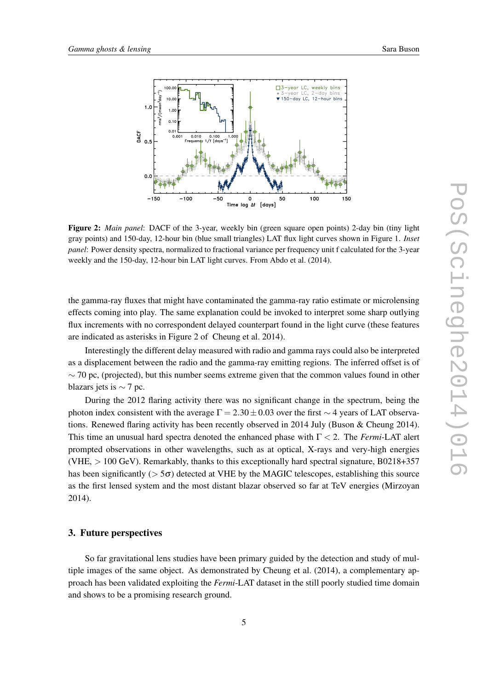<span id="page-4-0"></span>

Figure 2: *Main panel*: DACF of the 3-year, weekly bin (green square open points) 2-day bin (tiny light gray points) and 150-day, 12-hour bin (blue small triangles) LAT flux light curves shown in Figure 1. *Inset panel*: Power density spectra, normalized to fractional variance per frequency unit f calculated for the 3-year weekly and the 150-day, 12-hour bin LAT light curves. From Abdo et al. (2014).

the gamma-ray fluxes that might have contaminated the gamma-ray ratio estimate or microlensing effects coming into play. The same explanation could be invoked to interpret some sharp outlying flux increments with no correspondent delayed counterpart found in the light curve (these features are indicated as asterisks in Figure 2 of Cheung et al. 2014).

Interestingly the different delay measured with radio and gamma rays could also be interpreted as a displacement between the radio and the gamma-ray emitting regions. The inferred offset is of  $\sim$  70 pc, (projected), but this number seems extreme given that the common values found in other blazars jets is  $\sim$  7 pc.

During the 2012 flaring activity there was no significant change in the spectrum, being the photon index consistent with the average  $\Gamma = 2.30 \pm 0.03$  over the first ~ 4 years of LAT observations. Renewed flaring activity has been recently observed in 2014 July (Buson & Cheung 2014). This time an unusual hard spectra denoted the enhanced phase with  $\Gamma < 2$ . The *Fermi*-LAT alert prompted observations in other wavelengths, such as at optical, X-rays and very-high energies (VHE, > 100 GeV). Remarkably, thanks to this exceptionally hard spectral signature, B0218+357 has been significantly ( $> 5\sigma$ ) detected at VHE by the MAGIC telescopes, establishing this source as the first lensed system and the most distant blazar observed so far at TeV energies (Mirzoyan 2014).

## 3. Future perspectives

So far gravitational lens studies have been primary guided by the detection and study of multiple images of the same object. As demonstrated by Cheung et al. (2014), a complementary approach has been validated exploiting the *Fermi*-LAT dataset in the still poorly studied time domain and shows to be a promising research ground.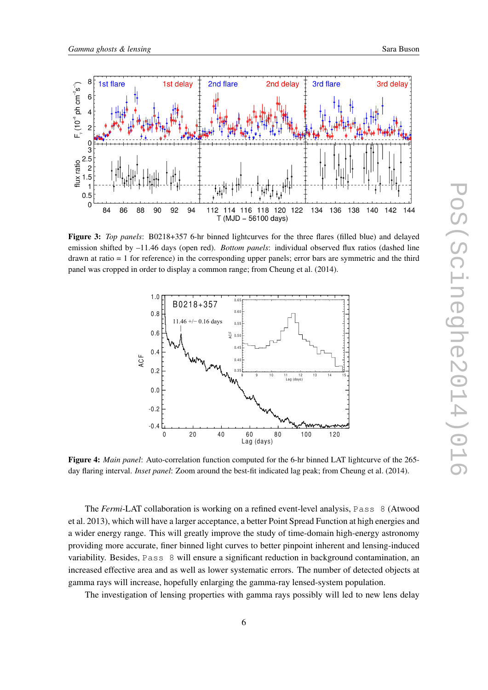<span id="page-5-0"></span>

Figure 3: *Top panels*: B0218+357 6-hr binned lightcurves for the three flares (filled blue) and delayed emission shifted by –11.46 days (open red). *Bottom panels*: individual observed flux ratios (dashed line drawn at ratio = 1 for reference) in the corresponding upper panels; error bars are symmetric and the third panel was cropped in order to display a common range; from Cheung et al. (2014).



Figure 4: *Main panel*: Auto-correlation function computed for the 6-hr binned LAT lightcurve of the 265 day flaring interval. *Inset panel*: Zoom around the best-fit indicated lag peak; from Cheung et al. (2014).

The *Fermi*-LAT collaboration is working on a refined event-level analysis, Pass 8 (Atwood et al. 2013), which will have a larger acceptance, a better Point Spread Function at high energies and a wider energy range. This will greatly improve the study of time-domain high-energy astronomy providing more accurate, finer binned light curves to better pinpoint inherent and lensing-induced variability. Besides, Pass 8 will ensure a significant reduction in background contamination, an increased effective area and as well as lower systematic errors. The number of detected objects at gamma rays will increase, hopefully enlarging the gamma-ray lensed-system population.

The investigation of lensing properties with gamma rays possibly will led to new lens delay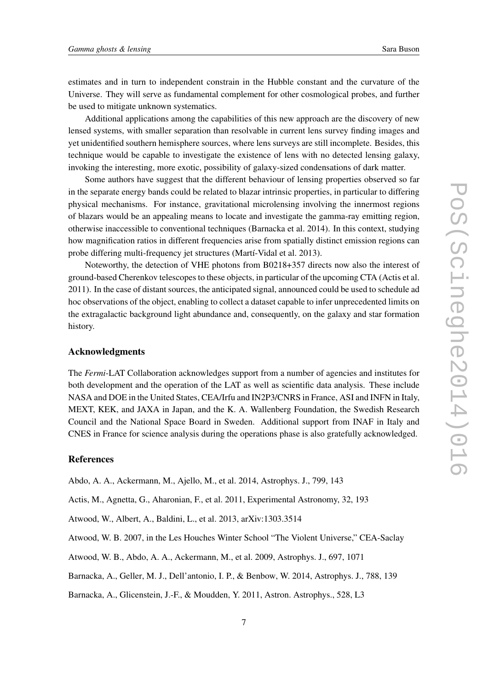estimates and in turn to independent constrain in the Hubble constant and the curvature of the Universe. They will serve as fundamental complement for other cosmological probes, and further be used to mitigate unknown systematics.

Additional applications among the capabilities of this new approach are the discovery of new lensed systems, with smaller separation than resolvable in current lens survey finding images and yet unidentified southern hemisphere sources, where lens surveys are still incomplete. Besides, this technique would be capable to investigate the existence of lens with no detected lensing galaxy, invoking the interesting, more exotic, possibility of galaxy-sized condensations of dark matter.

Some authors have suggest that the different behaviour of lensing properties observed so far in the separate energy bands could be related to blazar intrinsic properties, in particular to differing physical mechanisms. For instance, gravitational microlensing involving the innermost regions of blazars would be an appealing means to locate and investigate the gamma-ray emitting region, otherwise inaccessible to conventional techniques (Barnacka et al. 2014). In this context, studying how magnification ratios in different frequencies arise from spatially distinct emission regions can probe differing multi-frequency jet structures (Martí-Vidal et al. 2013).

Noteworthy, the detection of VHE photons from B0218+357 directs now also the interest of ground-based Cherenkov telescopes to these objects, in particular of the upcoming CTA (Actis et al. 2011). In the case of distant sources, the anticipated signal, announced could be used to schedule ad hoc observations of the object, enabling to collect a dataset capable to infer unprecedented limits on the extragalactic background light abundance and, consequently, on the galaxy and star formation history.

## Acknowledgments

The *Fermi*-LAT Collaboration acknowledges support from a number of agencies and institutes for both development and the operation of the LAT as well as scientific data analysis. These include NASA and DOE in the United States, CEA/Irfu and IN2P3/CNRS in France, ASI and INFN in Italy, MEXT, KEK, and JAXA in Japan, and the K. A. Wallenberg Foundation, the Swedish Research Council and the National Space Board in Sweden. Additional support from INAF in Italy and CNES in France for science analysis during the operations phase is also gratefully acknowledged.

## References

Abdo, A. A., Ackermann, M., Ajello, M., et al. 2014, Astrophys. J., 799, 143

Actis, M., Agnetta, G., Aharonian, F., et al. 2011, Experimental Astronomy, 32, 193

Atwood, W., Albert, A., Baldini, L., et al. 2013, arXiv:1303.3514

Atwood, W. B. 2007, in the Les Houches Winter School "The Violent Universe," CEA-Saclay

Atwood, W. B., Abdo, A. A., Ackermann, M., et al. 2009, Astrophys. J., 697, 1071

Barnacka, A., Geller, M. J., Dell'antonio, I. P., & Benbow, W. 2014, Astrophys. J., 788, 139

Barnacka, A., Glicenstein, J.-F., & Moudden, Y. 2011, Astron. Astrophys., 528, L3